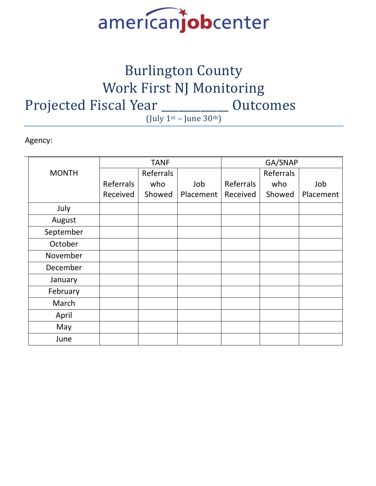

## Burlington County Work First NJ Monitoring Projected Fiscal Year \_\_\_\_\_\_\_\_\_\_\_ Outcomes (July  $1^{st}$  – June 30<sup>th</sup>)

Agency:

|              |           | <b>TANF</b> |           |           | GA/SNAP   |           |
|--------------|-----------|-------------|-----------|-----------|-----------|-----------|
| <b>MONTH</b> |           | Referrals   |           |           | Referrals |           |
|              | Referrals | who         | Job       | Referrals | who       | Job       |
|              | Received  | Showed      | Placement | Received  | Showed    | Placement |
| July         |           |             |           |           |           |           |
| August       |           |             |           |           |           |           |
| September    |           |             |           |           |           |           |
| October      |           |             |           |           |           |           |
| November     |           |             |           |           |           |           |
| December     |           |             |           |           |           |           |
| January      |           |             |           |           |           |           |
| February     |           |             |           |           |           |           |
| March        |           |             |           |           |           |           |
| April        |           |             |           |           |           |           |
| May          |           |             |           |           |           |           |
| June         |           |             |           |           |           |           |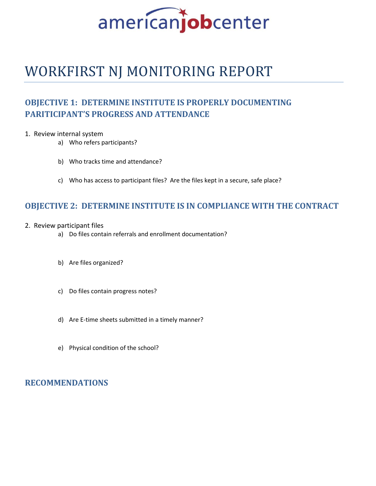

## WORKFIRST NJ MONITORING REPORT

### **OBJECTIVE 1: DETERMINE INSTITUTE IS PROPERLY DOCUMENTING PARITICIPANT'S PROGRESS AND ATTENDANCE**

#### 1. Review internal system

- a) Who refers participants?
- b) Who tracks time and attendance?
- c) Who has access to participant files? Are the files kept in a secure, safe place?

### **OBJECTIVE 2: DETERMINE INSTITUTE IS IN COMPLIANCE WITH THE CONTRACT**

- 2. Review participant files
	- a) Do files contain referrals and enrollment documentation?
	- b) Are files organized?
	- c) Do files contain progress notes?
	- d) Are E-time sheets submitted in a timely manner?
	- e) Physical condition of the school?

### **RECOMMENDATIONS**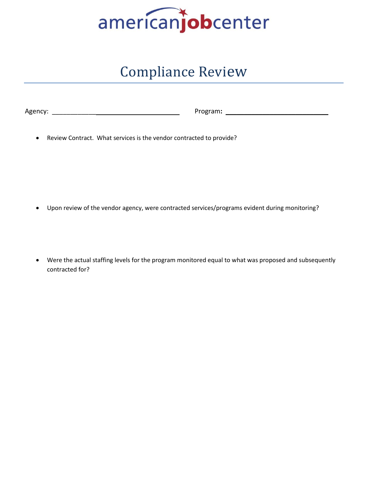

## Compliance Review

| Agency: |  |  |  |  |
|---------|--|--|--|--|
|         |  |  |  |  |

Agency: \_\_\_\_\_\_\_\_\_\_\_\_ Program**:** \_\_\_\_\_\_\_\_\_\_\_\_\_\_\_\_\_\_\_\_\_\_\_\_\_\_\_\_

• Review Contract. What services is the vendor contracted to provide?

- Upon review of the vendor agency, were contracted services/programs evident during monitoring?
- Were the actual staffing levels for the program monitored equal to what was proposed and subsequently contracted for?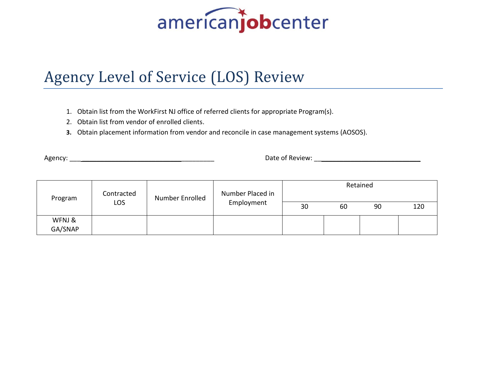## Agency Level of Service (LOS) Review

- 1. Obtain list from the WorkFirst NJ office of referred clients for appropriate Program(s).
- 2. Obtain list from vendor of enrolled clients.
- **3.** Obtain placement information from vendor and reconcile in case management systems (AOSOS).

Agency: \_\_\_ \_\_\_\_\_\_\_\_\_\_\_\_\_\_\_\_\_\_\_\_\_\_\_\_\_\_\_\_\_\_\_\_\_\_\_\_ Date of Review: \_\_\_\_\_\_\_\_\_\_\_\_\_\_\_\_\_\_\_\_\_\_\_\_\_\_\_\_\_

| Program           | Contracted<br>Number Enrolled<br>LOS | Number Placed in | Retained   |    |    |    |     |
|-------------------|--------------------------------------|------------------|------------|----|----|----|-----|
|                   |                                      |                  | Employment | 30 | 60 | 90 | 120 |
| WFNJ &<br>GA/SNAP |                                      |                  |            |    |    |    |     |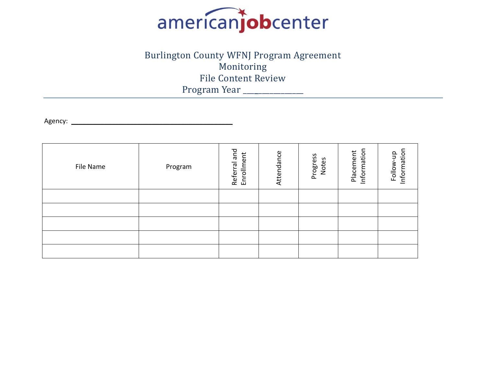

## Burlington County WFNJ Program Agreement Monitoring File Content Review Program Year \_\_\_\_\_\_\_\_\_\_\_\_\_\_\_\_

Agency: \_\_\_\_\_\_\_\_\_\_\_\_\_\_\_\_\_\_\_\_\_\_\_\_\_\_\_\_\_\_\_\_\_\_\_\_\_\_\_\_\_\_\_\_

| File Name | Program | ral and<br>Enrollment<br>Referr | Attendance | Progress<br>Notes | Information<br>Placement | Information<br>$\frac{1}{2}$<br>Follow- |
|-----------|---------|---------------------------------|------------|-------------------|--------------------------|-----------------------------------------|
|           |         |                                 |            |                   |                          |                                         |
|           |         |                                 |            |                   |                          |                                         |
|           |         |                                 |            |                   |                          |                                         |
|           |         |                                 |            |                   |                          |                                         |
|           |         |                                 |            |                   |                          |                                         |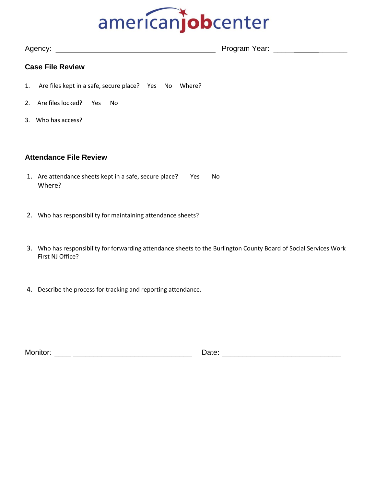| Agency:                         | Program Year: |
|---------------------------------|---------------|
|                                 |               |
| ---<br>$\overline{\phantom{a}}$ |               |

### **Case File Review**

- 1. Are files kept in a safe, secure place? Yes No Where?
- 2. Are files locked? Yes No
- 3. Who has access?

#### **Attendance File Review**

- 1. Are attendance sheets kept in a safe, secure place? Yes No Where?
- 2. Who has responsibility for maintaining attendance sheets?
- 3. Who has responsibility for forwarding attendance sheets to the Burlington County Board of Social Services Work First NJ Office?
- 4. Describe the process for tracking and reporting attendance.

| Monitor: | ⊃ate: |
|----------|-------|
|          | __    |
|          |       |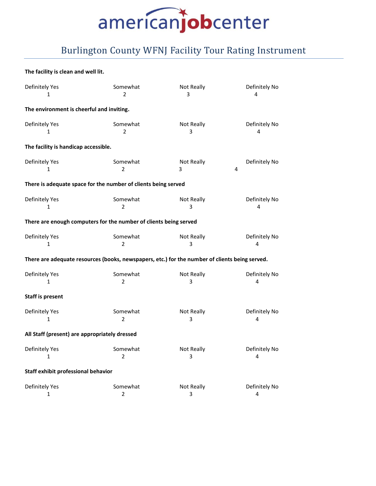## Burlington County WFNJ Facility Tour Rating Instrument

#### **The facility is clean and well lit.**

| Definitely Yes<br>1                                                                            | Somewhat<br>$\overline{2}$ | Not Really<br>3      | Definitely No<br>4 |  |  |  |
|------------------------------------------------------------------------------------------------|----------------------------|----------------------|--------------------|--|--|--|
| The environment is cheerful and inviting.                                                      |                            |                      |                    |  |  |  |
| Definitely Yes<br>1                                                                            | Somewhat<br>2              | Not Really<br>3      | Definitely No<br>4 |  |  |  |
| The facility is handicap accessible.                                                           |                            |                      |                    |  |  |  |
| Definitely Yes<br>$\mathbf{1}$                                                                 | Somewhat<br>$\overline{2}$ | Not Really<br>4<br>3 | Definitely No      |  |  |  |
| There is adequate space for the number of clients being served                                 |                            |                      |                    |  |  |  |
| Definitely Yes<br>$\mathbf{1}$                                                                 | Somewhat<br>$\overline{2}$ | Not Really<br>3      | Definitely No<br>4 |  |  |  |
| There are enough computers for the number of clients being served                              |                            |                      |                    |  |  |  |
| Definitely Yes<br>1                                                                            | Somewhat<br>$\overline{2}$ | Not Really<br>3      | Definitely No<br>4 |  |  |  |
| There are adequate resources (books, newspapers, etc.) for the number of clients being served. |                            |                      |                    |  |  |  |
| Definitely Yes<br>1                                                                            | Somewhat<br>$\overline{2}$ | Not Really<br>3      | Definitely No<br>4 |  |  |  |
| <b>Staff is present</b>                                                                        |                            |                      |                    |  |  |  |
| Definitely Yes<br>1                                                                            | Somewhat<br>2              | Not Really<br>3      | Definitely No<br>4 |  |  |  |
| All Staff (present) are appropriately dressed                                                  |                            |                      |                    |  |  |  |
| Definitely Yes<br>1                                                                            | Somewhat<br>$\overline{2}$ | Not Really<br>3      | Definitely No<br>4 |  |  |  |
| Staff exhibit professional behavior                                                            |                            |                      |                    |  |  |  |
| Definitely Yes<br>1                                                                            | Somewhat<br>2              | Not Really<br>3      | Definitely No<br>4 |  |  |  |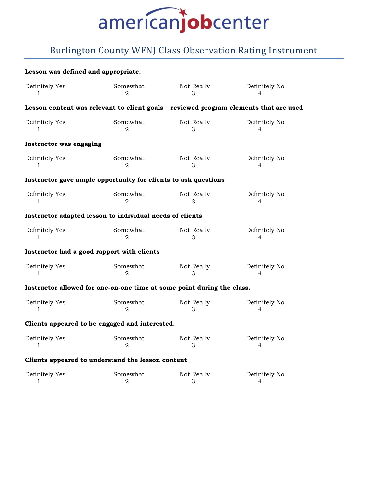## Burlington County WFNJ Class Observation Rating Instrument

#### **Lesson was defined and appropriate.**

| Definitely Yes                 | Somewhat                                                               | Not Really | Definitely No                                                                         |
|--------------------------------|------------------------------------------------------------------------|------------|---------------------------------------------------------------------------------------|
| L                              | $\mathcal{D}_{\mathcal{L}}$                                            | 3          | 4                                                                                     |
|                                |                                                                        |            | Lesson content was relevant to client goals - reviewed program elements that are used |
| Definitely Yes                 | Somewhat                                                               | Not Really | Definitely No                                                                         |
| 1                              | $\overline{2}$                                                         | 3          | 4                                                                                     |
| <b>Instructor was engaging</b> |                                                                        |            |                                                                                       |
| Definitely Yes                 | Somewhat                                                               | Not Really | Definitely No                                                                         |
| 1                              | $\mathfrak{D}$                                                         | 3          | 4                                                                                     |
|                                | Instructor gave ample opportunity for clients to ask questions         |            |                                                                                       |
| Definitely Yes                 | Somewhat                                                               | Not Really | Definitely No                                                                         |
| 1                              | 2                                                                      | 3          | 4                                                                                     |
|                                | Instructor adapted lesson to individual needs of clients               |            |                                                                                       |
| Definitely Yes                 | Somewhat                                                               | Not Really | Definitely No                                                                         |
| 1                              | $\overline{2}$                                                         | 3          | 4                                                                                     |
|                                | Instructor had a good rapport with clients                             |            |                                                                                       |
| Definitely Yes                 | Somewhat                                                               | Not Really | Definitely No                                                                         |
| 1                              | 2                                                                      | 3          | 4                                                                                     |
|                                | Instructor allowed for one-on-one time at some point during the class. |            |                                                                                       |
| Definitely Yes                 | Somewhat                                                               | Not Really | Definitely No                                                                         |
| 1                              | 2                                                                      | 3          | 4                                                                                     |
|                                | Clients appeared to be engaged and interested.                         |            |                                                                                       |
| Definitely Yes                 | Somewhat                                                               | Not Really | Definitely No                                                                         |
| 1                              | 2                                                                      | 3          | 4                                                                                     |
|                                | Clients appeared to understand the lesson content                      |            |                                                                                       |
| Definitely Yes                 | Somewhat                                                               | Not Really | Definitely No                                                                         |
| 1                              | $\overline{2}$                                                         | 3          | 4                                                                                     |